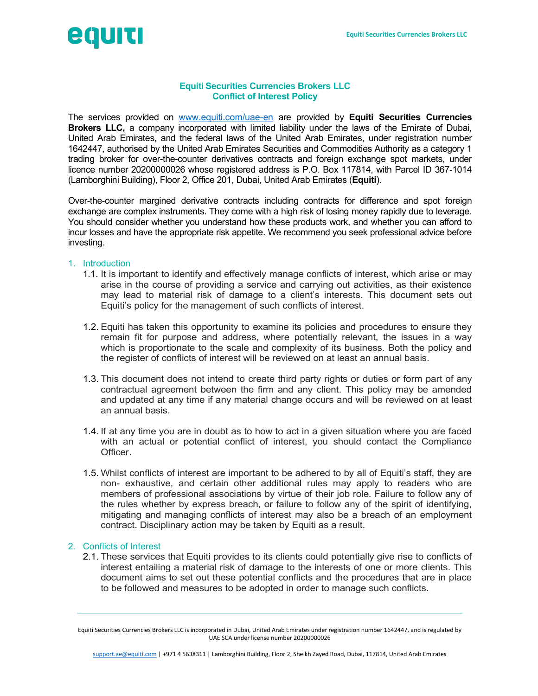# equiti

## Equiti Securities Currencies Brokers LLC Conflict of Interest Policy

The services provided on www.equiti.com/uae-en are provided by Equiti Securities Currencies Brokers LLC, a company incorporated with limited liability under the laws of the Emirate of Dubai, United Arab Emirates, and the federal laws of the United Arab Emirates, under registration number 1642447, authorised by the United Arab Emirates Securities and Commodities Authority as a category 1 trading broker for over-the-counter derivatives contracts and foreign exchange spot markets, under licence number 20200000026 whose registered address is P.O. Box 117814, with Parcel ID 367-1014 (Lamborghini Building), Floor 2, Office 201, Dubai, United Arab Emirates (Equiti).

Over-the-counter margined derivative contracts including contracts for difference and spot foreign exchange are complex instruments. They come with a high risk of losing money rapidly due to leverage. You should consider whether you understand how these products work, and whether you can afford to incur losses and have the appropriate risk appetite. We recommend you seek professional advice before investing.

## 1. Introduction

- 1.1. It is important to identify and effectively manage conflicts of interest, which arise or may arise in the course of providing a service and carrying out activities, as their existence may lead to material risk of damage to a client's interests. This document sets out Equiti's policy for the management of such conflicts of interest.
- 1.2. Equiti has taken this opportunity to examine its policies and procedures to ensure they remain fit for purpose and address, where potentially relevant, the issues in a way which is proportionate to the scale and complexity of its business. Both the policy and the register of conflicts of interest will be reviewed on at least an annual basis.
- 1.3. This document does not intend to create third party rights or duties or form part of any contractual agreement between the firm and any client. This policy may be amended and updated at any time if any material change occurs and will be reviewed on at least an annual basis.
- 1.4. If at any time you are in doubt as to how to act in a given situation where you are faced with an actual or potential conflict of interest, you should contact the Compliance Officer.
- 1.5. Whilst conflicts of interest are important to be adhered to by all of Equiti's staff, they are non- exhaustive, and certain other additional rules may apply to readers who are members of professional associations by virtue of their job role. Failure to follow any of the rules whether by express breach, or failure to follow any of the spirit of identifying, mitigating and managing conflicts of interest may also be a breach of an employment contract. Disciplinary action may be taken by Equiti as a result.

# 2. Conflicts of Interest

2.1. These services that Equiti provides to its clients could potentially give rise to conflicts of interest entailing a material risk of damage to the interests of one or more clients. This document aims to set out these potential conflicts and the procedures that are in place to be followed and measures to be adopted in order to manage such conflicts.

Equiti Securities Currencies Brokers LLC is incorporated in Dubai, United Arab Emirates under registration number 1642447, and is regulated by UAE SCA under license number 20200000026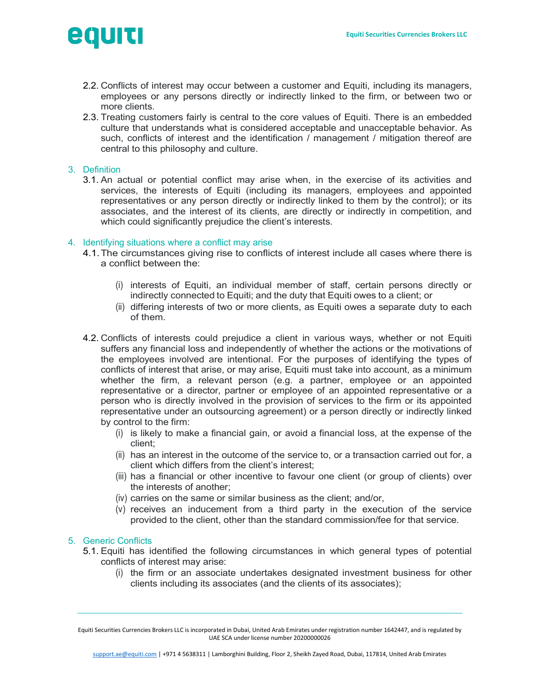

- 2.2. Conflicts of interest may occur between a customer and Equiti, including its managers, employees or any persons directly or indirectly linked to the firm, or between two or more clients.
- 2.3. Treating customers fairly is central to the core values of Equiti. There is an embedded culture that understands what is considered acceptable and unacceptable behavior. As such, conflicts of interest and the identification / management / mitigation thereof are central to this philosophy and culture.

### 3. Definition

3.1. An actual or potential conflict may arise when, in the exercise of its activities and services, the interests of Equiti (including its managers, employees and appointed representatives or any person directly or indirectly linked to them by the control); or its associates, and the interest of its clients, are directly or indirectly in competition, and which could significantly prejudice the client's interests.

# 4. Identifying situations where a conflict may arise

- 4.1. The circumstances giving rise to conflicts of interest include all cases where there is a conflict between the:
	- (i) interests of Equiti, an individual member of staff, certain persons directly or indirectly connected to Equiti; and the duty that Equiti owes to a client; or
	- (ii) differing interests of two or more clients, as Equiti owes a separate duty to each of them.
- 4.2. Conflicts of interests could prejudice a client in various ways, whether or not Equiti suffers any financial loss and independently of whether the actions or the motivations of the employees involved are intentional. For the purposes of identifying the types of conflicts of interest that arise, or may arise, Equiti must take into account, as a minimum whether the firm, a relevant person (e.g. a partner, employee or an appointed representative or a director, partner or employee of an appointed representative or a person who is directly involved in the provision of services to the firm or its appointed representative under an outsourcing agreement) or a person directly or indirectly linked by control to the firm:
	- (i) is likely to make a financial gain, or avoid a financial loss, at the expense of the client;
	- (ii) has an interest in the outcome of the service to, or a transaction carried out for, a client which differs from the client's interest;
	- (iii) has a financial or other incentive to favour one client (or group of clients) over the interests of another;
	- (iv) carries on the same or similar business as the client; and/or,
	- (v) receives an inducement from a third party in the execution of the service provided to the client, other than the standard commission/fee for that service.

#### 5. Generic Conflicts

- 5.1. Equiti has identified the following circumstances in which general types of potential conflicts of interest may arise:
	- (i) the firm or an associate undertakes designated investment business for other clients including its associates (and the clients of its associates);

Equiti Securities Currencies Brokers LLC is incorporated in Dubai, United Arab Emirates under registration number 1642447, and is regulated by UAE SCA under license number 20200000026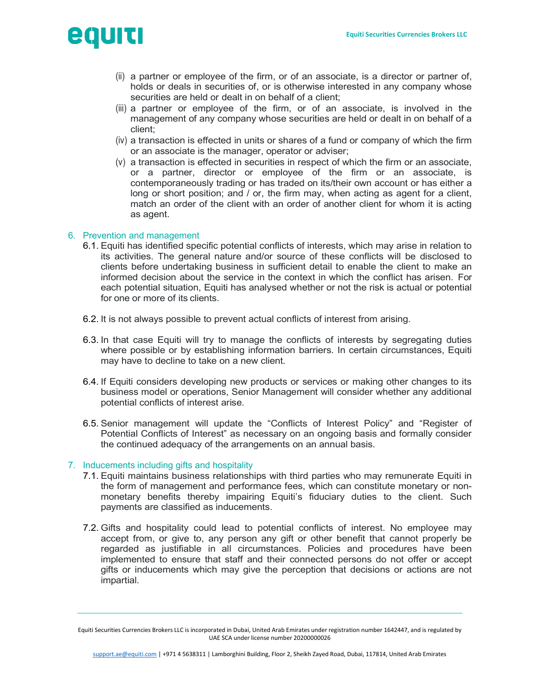

- (ii) a partner or employee of the firm, or of an associate, is a director or partner of, holds or deals in securities of, or is otherwise interested in any company whose securities are held or dealt in on behalf of a client;
- (iii) a partner or employee of the firm, or of an associate, is involved in the management of any company whose securities are held or dealt in on behalf of a client;
- (iv) a transaction is effected in units or shares of a fund or company of which the firm or an associate is the manager, operator or adviser;
- (v) a transaction is effected in securities in respect of which the firm or an associate, or a partner, director or employee of the firm or an associate, is contemporaneously trading or has traded on its/their own account or has either a long or short position; and / or, the firm may, when acting as agent for a client, match an order of the client with an order of another client for whom it is acting as agent.

## 6. Prevention and management

- 6.1. Equiti has identified specific potential conflicts of interests, which may arise in relation to its activities. The general nature and/or source of these conflicts will be disclosed to clients before undertaking business in sufficient detail to enable the client to make an informed decision about the service in the context in which the conflict has arisen. For each potential situation, Equiti has analysed whether or not the risk is actual or potential for one or more of its clients.
- 6.2. It is not always possible to prevent actual conflicts of interest from arising.
- 6.3. In that case Equiti will try to manage the conflicts of interests by segregating duties where possible or by establishing information barriers. In certain circumstances, Equiti may have to decline to take on a new client.
- 6.4. If Equiti considers developing new products or services or making other changes to its business model or operations, Senior Management will consider whether any additional potential conflicts of interest arise.
- 6.5. Senior management will update the "Conflicts of Interest Policy" and "Register of Potential Conflicts of Interest" as necessary on an ongoing basis and formally consider the continued adequacy of the arrangements on an annual basis.

#### 7. Inducements including gifts and hospitality

- 7.1. Equiti maintains business relationships with third parties who may remunerate Equiti in the form of management and performance fees, which can constitute monetary or nonmonetary benefits thereby impairing Equiti's fiduciary duties to the client. Such payments are classified as inducements.
- 7.2. Gifts and hospitality could lead to potential conflicts of interest. No employee may accept from, or give to, any person any gift or other benefit that cannot properly be regarded as justifiable in all circumstances. Policies and procedures have been implemented to ensure that staff and their connected persons do not offer or accept gifts or inducements which may give the perception that decisions or actions are not impartial.

Equiti Securities Currencies Brokers LLC is incorporated in Dubai, United Arab Emirates under registration number 1642447, and is regulated by UAE SCA under license number 20200000026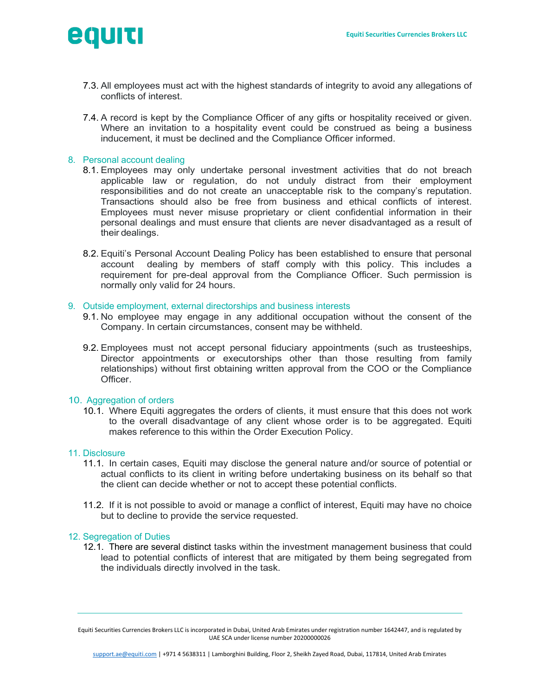

- 7.3. All employees must act with the highest standards of integrity to avoid any allegations of conflicts of interest.
- 7.4. A record is kept by the Compliance Officer of any gifts or hospitality received or given. Where an invitation to a hospitality event could be construed as being a business inducement, it must be declined and the Compliance Officer informed.

### 8. Personal account dealing

- 8.1. Employees may only undertake personal investment activities that do not breach applicable law or regulation, do not unduly distract from their employment responsibilities and do not create an unacceptable risk to the company's reputation. Transactions should also be free from business and ethical conflicts of interest. Employees must never misuse proprietary or client confidential information in their personal dealings and must ensure that clients are never disadvantaged as a result of their dealings.
- 8.2. Equiti's Personal Account Dealing Policy has been established to ensure that personal account dealing by members of staff comply with this policy. This includes a requirement for pre-deal approval from the Compliance Officer. Such permission is normally only valid for 24 hours.

#### 9. Outside employment, external directorships and business interests

- 9.1. No employee may engage in any additional occupation without the consent of the Company. In certain circumstances, consent may be withheld.
- 9.2. Employees must not accept personal fiduciary appointments (such as trusteeships, Director appointments or executorships other than those resulting from family relationships) without first obtaining written approval from the COO or the Compliance Officer.

#### 10. Aggregation of orders

10.1. Where Equiti aggregates the orders of clients, it must ensure that this does not work to the overall disadvantage of any client whose order is to be aggregated. Equiti makes reference to this within the Order Execution Policy.

#### 11. Disclosure

- 11.1. In certain cases, Equiti may disclose the general nature and/or source of potential or actual conflicts to its client in writing before undertaking business on its behalf so that the client can decide whether or not to accept these potential conflicts.
- 11.2. If it is not possible to avoid or manage a conflict of interest, Equiti may have no choice but to decline to provide the service requested.

#### 12. Segregation of Duties

12.1. There are several distinct tasks within the investment management business that could lead to potential conflicts of interest that are mitigated by them being segregated from the individuals directly involved in the task.

Equiti Securities Currencies Brokers LLC is incorporated in Dubai, United Arab Emirates under registration number 1642447, and is regulated by UAE SCA under license number 20200000026